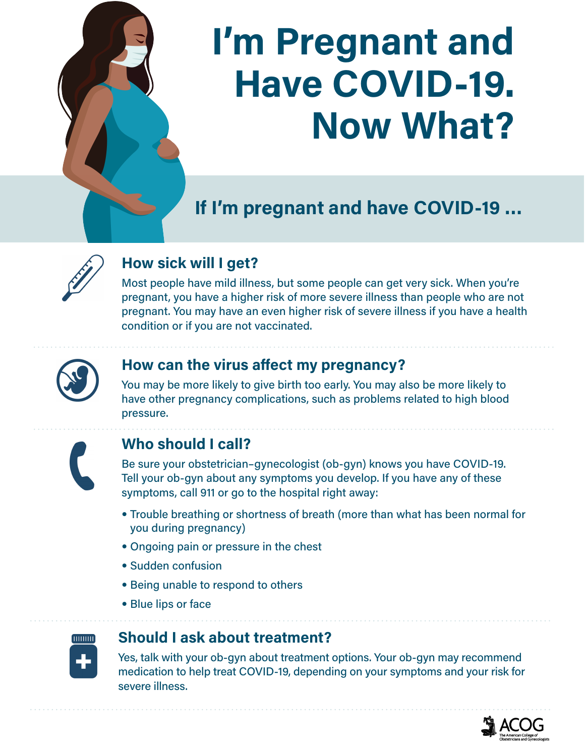# **I'm Pregnant and Have COVID-19. Now What?**

**If I'm pregnant and have COVID-19 …**



# **How sick will I get?**

Most people have mild illness, but some people can get very sick. When you're pregnant, you have a higher risk of more severe illness than people who are not pregnant. You may have an even higher risk of severe illness if you have a health condition or if you are not vaccinated.



## **How can the virus affect my pregnancy?**

You may be more likely to give birth too early. You may also be more likely to have other pregnancy complications, such as problems related to high blood pressure.



## **Who should I call?**

Be sure your obstetrician–gynecologist (ob-gyn) knows you have COVID-19. Tell your ob-gyn about any symptoms you develop. If you have any of these symptoms, call 911 or go to the hospital right away:

- Trouble breathing or shortness of breath (more than what has been normal for you during pregnancy)
- Ongoing pain or pressure in the chest
- Sudden confusion
- Being unable to respond to others
- Blue lips or face



#### **Should I ask about treatment?**

Yes, talk with your ob-gyn about treatment options. Your ob-gyn may recommend medication to help treat COVID-19, depending on your symptoms and your risk for severe illness.